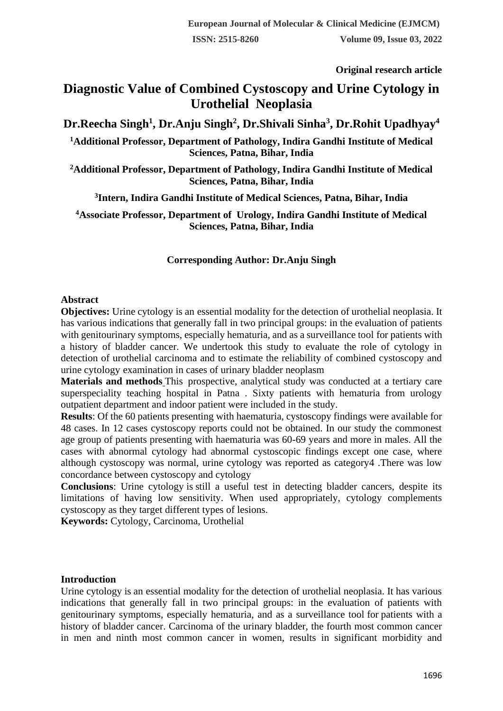**Original research article** 

# **Diagnostic Value of Combined Cystoscopy and Urine Cytology in Urothelial Neoplasia**

## **Dr.Reecha Singh<sup>1</sup> , Dr.Anju Singh<sup>2</sup> , Dr.Shivali Sinha<sup>3</sup> , Dr.Rohit Upadhyay<sup>4</sup>**

**<sup>1</sup>Additional Professor, Department of Pathology, Indira Gandhi Institute of Medical Sciences, Patna, Bihar, India**

**<sup>2</sup>Additional Professor, Department of Pathology, Indira Gandhi Institute of Medical Sciences, Patna, Bihar, India**

**3 Intern, Indira Gandhi Institute of Medical Sciences, Patna, Bihar, India**

**<sup>4</sup>Associate Professor, Department of Urology, Indira Gandhi Institute of Medical Sciences, Patna, Bihar, India**

### **Corresponding Author: Dr.Anju Singh**

#### **Abstract**

**Objectives:** Urine cytology is an essential modality for the detection of urothelial neoplasia. It has various indications that generally fall in two principal groups: in the evaluation of patients with genitourinary symptoms, especially hematuria, and as a surveillance tool for patients with a history of bladder cancer. We undertook this study to evaluate the role of cytology in detection of urothelial carcinoma and to estimate the reliability of combined cystoscopy and urine cytology examination in cases of urinary bladder neoplasm

**Materials and methods** This prospective, analytical study was conducted at a tertiary care superspeciality teaching hospital in Patna . Sixty patients with hematuria from urology outpatient department and indoor patient were included in the study.

**Results**: Of the 60 patients presenting with haematuria, cystoscopy findings were available for 48 cases. In 12 cases cystoscopy reports could not be obtained. In our study the commonest age group of patients presenting with haematuria was 60-69 years and more in males. All the cases with abnormal cytology had abnormal cystoscopic findings except one case, where although cystoscopy was normal, urine cytology was reported as category4 .There was low concordance between cystoscopy and cytology

**Conclusions**: Urine cytology is still a useful test in detecting bladder cancers, despite its limitations of having low sensitivity. When used appropriately, cytology complements cystoscopy as they target different types of lesions.

**Keywords:** Cytology, Carcinoma, Urothelial

#### **Introduction**

Urine cytology is an essential modality for the detection of urothelial neoplasia. It has various indications that generally fall in two principal groups: in the evaluation of patients with genitourinary symptoms, especially hematuria, and as a surveillance tool for patients with a history of bladder cancer. Carcinoma of the urinary bladder, the fourth most common cancer in men and ninth most common cancer in women, results in significant morbidity and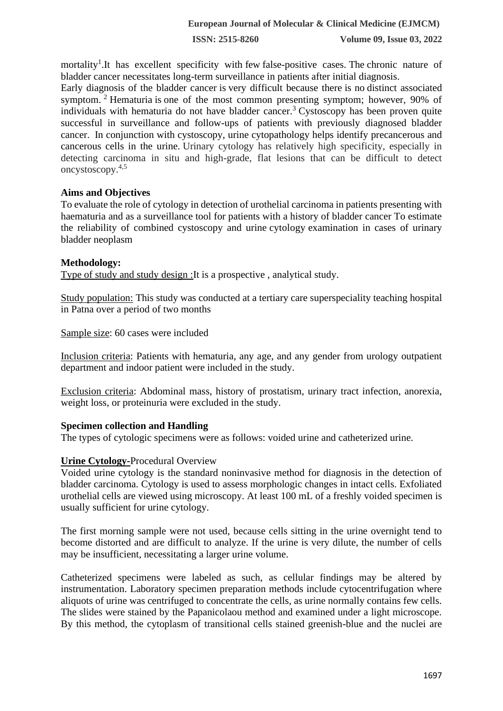**ISSN: 2515-8260 Volume 09, Issue 03, 2022**

mortality<sup>1</sup>. It has excellent specificity with few false-positive cases. The chronic nature of bladder cancer necessitates long-term surveillance in patients after initial diagnosis.

Early diagnosis of the bladder cancer is very difficult because there is no distinct associated symptom.<sup>2</sup> Hematuria is one of the most common presenting symptom; however, 90% of individuals with hematuria do not have bladder cancer.<sup>3</sup> Cystoscopy has been proven quite successful in surveillance and follow-ups of patients with previously diagnosed bladder cancer. In conjunction with cystoscopy, urine cytopathology helps identify precancerous and cancerous cells in the urine. Urinary cytology has relatively high specificity, especially in detecting carcinoma in situ and high-grade, flat lesions that can be difficult to detect oncystoscopy.4,5

#### **Aims and Objectives**

To evaluate the role of cytology in detection of urothelial carcinoma in patients presenting with haematuria and as a surveillance tool for patients with a history of bladder cancer To estimate the reliability of combined cystoscopy and urine cytology examination in cases of urinary bladder neoplasm

#### **Methodology:**

Type of study and study design :It is a prospective , analytical study.

Study population: This study was conducted at a tertiary care superspeciality teaching hospital in Patna over a period of two months

Sample size: 60 cases were included

Inclusion criteria: Patients with hematuria, any age, and any gender from urology outpatient department and indoor patient were included in the study.

Exclusion criteria: Abdominal mass, history of prostatism, urinary tract infection, anorexia, weight loss, or proteinuria were excluded in the study.

#### **Specimen collection and Handling**

The types of cytologic specimens were as follows: voided urine and catheterized urine.

#### **Urine Cytology-**Procedural Overview

Voided urine cytology is the standard noninvasive method for diagnosis in the detection of bladder carcinoma. Cytology is used to assess morphologic changes in intact cells. Exfoliated urothelial cells are viewed using microscopy. At least 100 mL of a freshly voided specimen is usually sufficient for urine cytology.

The first morning sample were not used, because cells sitting in the urine overnight tend to become distorted and are difficult to analyze. If the urine is very dilute, the number of cells may be insufficient, necessitating a larger urine volume.

Catheterized specimens were labeled as such, as cellular findings may be altered by instrumentation. Laboratory specimen preparation methods include cytocentrifugation where aliquots of urine was centrifuged to concentrate the cells, as urine normally contains few cells. The slides were stained by the Papanicolaou method and examined under a light microscope. By this method, the cytoplasm of transitional cells stained greenish-blue and the nuclei are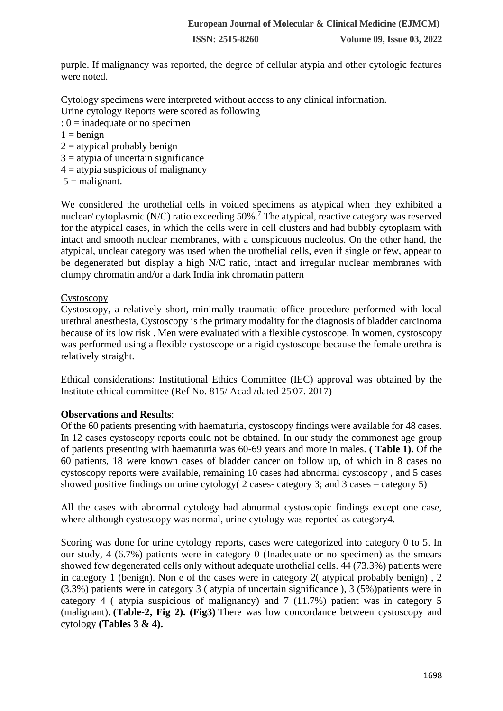**ISSN: 2515-8260 Volume 09, Issue 03, 2022**

purple. If malignancy was reported, the degree of cellular atypia and other cytologic features were noted.

Cytology specimens were interpreted without access to any clinical information.

Urine cytology Reports were scored as following

- : 0 = inadequate or no specimen
- $1 = \text{benign}$
- $2 =$  atypical probably benign
- $3 =$  atypia of uncertain significance
- $4 =$  atypia suspicious of malignancy
- $5 =$  malignant.

We considered the urothelial cells in voided specimens as atypical when they exhibited a nuclear/ cytoplasmic (N/C) ratio exceeding 50%.<sup>7</sup> The atypical, reactive category was reserved for the atypical cases, in which the cells were in cell clusters and had bubbly cytoplasm with intact and smooth nuclear membranes, with a conspicuous nucleolus. On the other hand, the atypical, unclear category was used when the urothelial cells, even if single or few, appear to be degenerated but display a high N/C ratio, intact and irregular nuclear membranes with clumpy chromatin and/or a dark India ink chromatin pattern

#### Cystoscopy

Cystoscopy, a relatively short, minimally traumatic office procedure performed with local urethral anesthesia, Cystoscopy is the primary modality for the diagnosis of bladder carcinoma because of its low risk . Men were evaluated with a flexible cystoscope. In women, cystoscopy was performed using a flexible cystoscope or a rigid cystoscope because the female urethra is relatively straight.

Ethical considerations: Institutional Ethics Committee (IEC) approval was obtained by the Institute ethical committee (Ref No. 815/ Acad /dated 25. 07. 2017)

#### **Observations and Results**:

Of the 60 patients presenting with haematuria, cystoscopy findings were available for 48 cases. In 12 cases cystoscopy reports could not be obtained. In our study the commonest age group of patients presenting with haematuria was 60-69 years and more in males. **( Table 1).** Of the 60 patients, 18 were known cases of bladder cancer on follow up, of which in 8 cases no cystoscopy reports were available, remaining 10 cases had abnormal cystoscopy , and 5 cases showed positive findings on urine cytology( 2 cases- category 3; and 3 cases – category 5)

All the cases with abnormal cytology had abnormal cystoscopic findings except one case, where although cystoscopy was normal, urine cytology was reported as category4.

Scoring was done for urine cytology reports, cases were categorized into category 0 to 5. In our study, 4 (6.7%) patients were in category 0 (Inadequate or no specimen) as the smears showed few degenerated cells only without adequate urothelial cells. 44 (73.3%) patients were in category 1 (benign). Non e of the cases were in category 2( atypical probably benign) , 2 (3.3%) patients were in category 3 ( atypia of uncertain significance ), 3 (5%)patients were in category 4 ( atypia suspicious of malignancy) and 7 (11.7%) patient was in category 5 (malignant). **(Table-2, Fig 2). (Fig3)** There was low concordance between cystoscopy and cytology **(Tables 3 & 4).**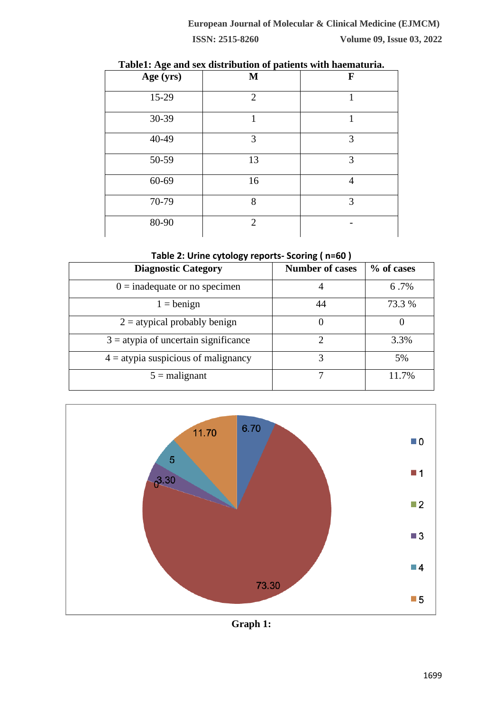| ~~~~~~ <del>~</del> ~ |                |                |  |  |  |
|-----------------------|----------------|----------------|--|--|--|
| Age (yrs)             | $\mathbf{M}$   | $\mathbf F$    |  |  |  |
| 15-29                 | $\overline{2}$ |                |  |  |  |
| 30-39                 |                |                |  |  |  |
| 40-49                 | 3              | 3              |  |  |  |
| 50-59                 | 13             | 3              |  |  |  |
| 60-69                 | 16             | $\overline{4}$ |  |  |  |
| 70-79                 | 8              | 3              |  |  |  |
| 80-90                 | $\overline{2}$ |                |  |  |  |

#### **Table1: Age and sex distribution of patients with haematuria.**

**Table 2: Urine cytology reports- Scoring ( n=60 )**

| <b>Diagnostic Category</b>             | <b>Number of cases</b> | % of cases |
|----------------------------------------|------------------------|------------|
| $0 =$ inadequate or no specimen        |                        | 6.7%       |
| $1 = \text{benign}$                    | 44                     | 73.3 %     |
| $2 =$ atypical probably benign         |                        |            |
| $3 =$ atypia of uncertain significance | 2                      | 3.3%       |
| $4 =$ atypia suspicious of malignancy  | 3                      | 5%         |
| $5 =$ malignant                        |                        | 11.7%      |



**Graph 1:**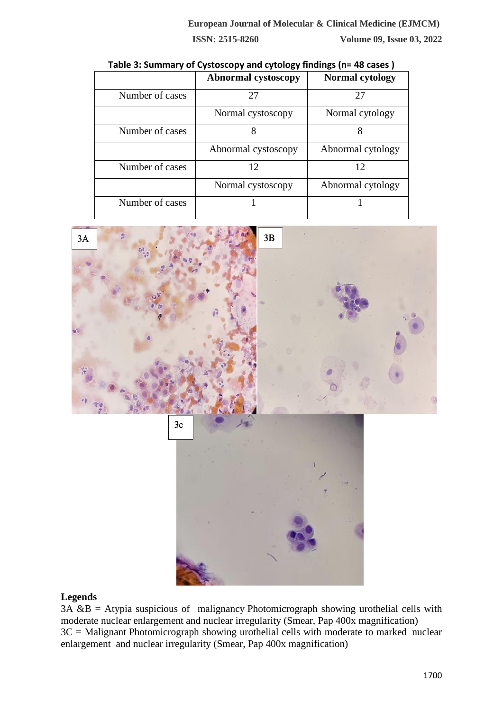**Abnormal cystoscopy Normal cytology** Number of cases 27 27 27 Normal cystoscopy | Normal cytology Number of cases 8 8 8 Abnormal cystoscopy | Abnormal cytology Number of cases 12 12 12 Normal cystoscopy | Abnormal cytology Number of cases  $\begin{vmatrix} 1 & 1 \\ 1 & 1 \end{vmatrix}$  1





#### **Legends**

 $3A \& B = A$ typia suspicious of malignancy Photomicrograph showing urothelial cells with moderate nuclear enlargement and nuclear irregularity (Smear, Pap 400x magnification)  $3C =$  Malignant Photomicrograph showing urothelial cells with moderate to marked nuclear enlargement and nuclear irregularity (Smear, Pap 400x magnification)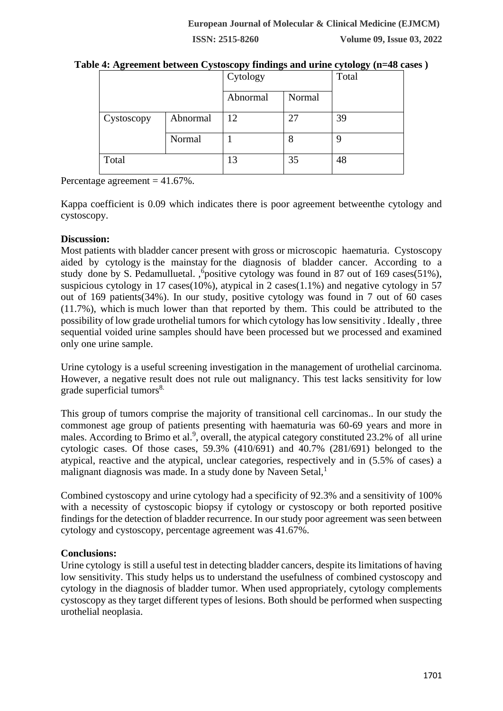**ISSN: 2515-8260 Volume 09, Issue 03, 2022**

|            |          | Cytology |        | Total |
|------------|----------|----------|--------|-------|
|            |          | Abnormal | Normal |       |
| Cystoscopy | Abnormal | 12       | 27     | 39    |
|            | Normal   |          | 8      | q     |
| Total      |          | 13       | 35     | 48    |

| Table 4: Agreement between Cystoscopy findings and urine cytology (n=48 cases) |  |  |
|--------------------------------------------------------------------------------|--|--|

Percentage agreement = 41.67%.

Kappa coefficient is 0.09 which indicates there is poor agreement betweenthe cytology and cystoscopy.

#### **Discussion:**

Most patients with bladder cancer present with gross or microscopic haematuria. Cystoscopy aided by cytology is the mainstay for the diagnosis of bladder cancer. According to a study done by S. Pedamulluetal. , <sup>6</sup> positive cytology was found in 87 out of 169 cases(51%), suspicious cytology in 17 cases(10%), atypical in 2 cases(1.1%) and negative cytology in 57 out of 169 patients(34%). In our study, positive cytology was found in 7 out of 60 cases (11.7%), which is much lower than that reported by them. This could be attributed to the possibility of low grade urothelial tumors for which cytology has low sensitivity . Ideally , three sequential voided urine samples should have been processed but we processed and examined only one urine sample.

Urine cytology is a useful screening investigation in the management of urothelial carcinoma. However, a negative result does not rule out malignancy. This test lacks sensitivity for low grade superficial tumors<sup>8.</sup>

This group of tumors comprise the majority of transitional cell carcinomas.. In our study the commonest age group of patients presenting with haematuria was 60-69 years and more in males. According to Brimo et al.<sup>9</sup>, overall, the atypical category constituted 23.2% of all urine cytologic cases. Of those cases,  $59.3\%$   $(410/691)$  and  $40.7\%$   $(281/691)$  belonged to the atypical, reactive and the atypical, unclear categories, respectively and in (5.5% of cases) a malignant diagnosis was made. In a study done by Naveen Setal, $<sup>1</sup>$ </sup>

Combined cystoscopy and urine cytology had a specificity of 92.3% and a sensitivity of 100% with a necessity of cystoscopic biopsy if cytology or cystoscopy or both reported positive findings for the detection of bladder recurrence. In our study poor agreement was seen between cytology and cystoscopy, percentage agreement was 41.67%.

#### **Conclusions:**

Urine cytology is still a useful test in detecting bladder cancers, despite its limitations of having low sensitivity. This study helps us to understand the usefulness of combined cystoscopy and cytology in the diagnosis of bladder tumor. When used appropriately, cytology complements cystoscopy as they target different types of lesions. Both should be performed when suspecting urothelial neoplasia.